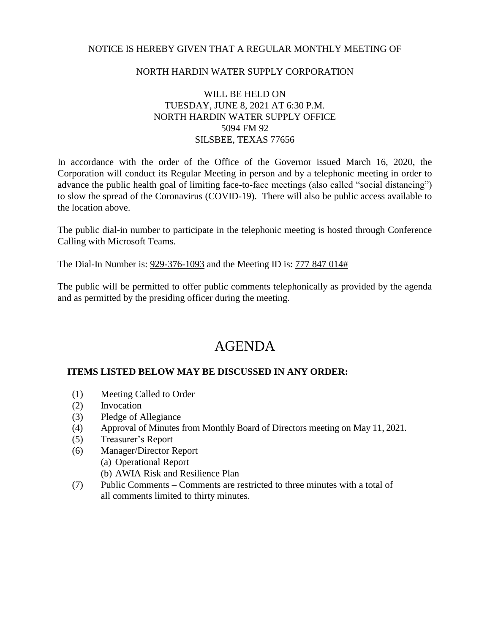## NOTICE IS HEREBY GIVEN THAT A REGULAR MONTHLY MEETING OF

## NORTH HARDIN WATER SUPPLY CORPORATION

# WILL BE HELD ON TUESDAY, JUNE 8, 2021 AT 6:30 P.M. NORTH HARDIN WATER SUPPLY OFFICE 5094 FM 92 SILSBEE, TEXAS 77656

In accordance with the order of the Office of the Governor issued March 16, 2020, the Corporation will conduct its Regular Meeting in person and by a telephonic meeting in order to advance the public health goal of limiting face-to-face meetings (also called "social distancing") to slow the spread of the Coronavirus (COVID-19). There will also be public access available to the location above.

The public dial-in number to participate in the telephonic meeting is hosted through Conference Calling with Microsoft Teams.

The Dial-In Number is: 929-376-1093 and the Meeting ID is: 777 847 014#

The public will be permitted to offer public comments telephonically as provided by the agenda and as permitted by the presiding officer during the meeting.

# AGENDA

### **ITEMS LISTED BELOW MAY BE DISCUSSED IN ANY ORDER:**

- (1) Meeting Called to Order
- (2) Invocation
- (3) Pledge of Allegiance
- (4) Approval of Minutes from Monthly Board of Directors meeting on May 11, 2021.
- (5) Treasurer's Report
- (6) Manager/Director Report
	- (a) Operational Report
	- (b) AWIA Risk and Resilience Plan
- (7) Public Comments Comments are restricted to three minutes with a total of all comments limited to thirty minutes.